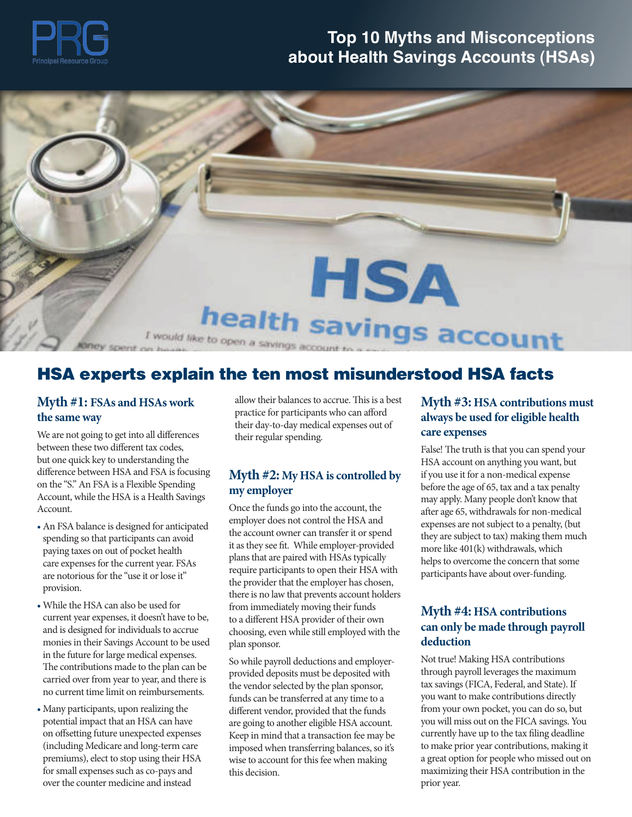

# **Top 10 Myths and Misconceptions about Health Savings Accounts (HSAs)**



#### **HSA experts explain the ten most misunderstood HSA facts** HSA experts explain the ten most misunderstood HSA facts

#### **Myth #1: FSAs and HSAs work allow their balan sponsors.**  $\frac{M_{\text{max}}}{M_{\text{max}}}$  and  $\frac{M_{\text{max}}}{M_{\text{max}}}$  organization serving serving serving practice for participants who can afford  $\frac{1}{2}$  and Benefit Professionals. **the same way**

between these two different tax codes, but one quick key to understanding the  $\mathcal{L}(\mathcal{L})$ on the "S." An FSA is a Flexible Spending **Myth #2: My** on the "S." An FSA is a Flexible Spending  $\frac{m}{\epsilon}$  m and  $\frac{m}{\epsilon}$  and  $\frac{m}{\epsilon}$  is a Health Series and  $\frac{m}{\epsilon}$ Account, while the HSA is a Health Savings and College from Elmannian College. We are not going to get into all differences difference between HSA and FSA is focusing Account.

- An FSA balance is designed for anticipated spending so that participants can avoid paying taxes on out of pocket health care expenses for the current year. FSAs are notorious for the "use it or lose it" provision.
- carried over from year to year, and there is provided no current time limit on reimbursements. Funds can l • While the HSA can also be used for current year expenses, it doesn't have to be, and is designed for individuals to accrue monies in their Savings Account to be used in the future for large medical expenses. The contributions made to the plan can be
- $\frac{1}{2}$ • Many participants, upon realizing the potential impact that an HSA can have on offsetting future unexpected expenses (including Medicare and long-term care premiums), elect to stop using their HSA for small expenses such as co-pays and over the counter medicine and instead

allow their balances to accrue. This is a best their day-to-day medical expenses out of their regular spending.

#### **Myth #2: My HSA is controlled by my employer**

the account owner can transfer it or spend<br>they are subject to tax require participants to open their HSA with p  $A = \frac{1}{2}$ Once the funds go into the account, the employer does not control the HSA and it as they see fit. While employer-provided plans that are paired with HSAs typically the provider that the employer has chosen, there is no law that prevents account holders from immediately moving their funds to a different HSA provider of their own choosing, even while still employed with the plan sponsor.

on offsetting future unexpected expenses Keep in mind that a transaction fee may be currently have up to the tax filing deadline premiums), elect to stop using their HSA wise to account for this fee when making a great option for people who misse  $\frac{1}{2}$  Roosevelt Roosevelt Road, Building B, Suite 421, B, Suite 421, B, Suite 421, B, Suite 421, Instead, So while payroll deductions and employerprovided deposits must be deposited with the vendor selected by the plan sponsor, funds can be transferred at any time to a different vendor, provided that the funds are going to another eligible HSA account. imposed when transferring balances, so it's this decision.

#### *important part of our commitment to you.* **Myth #3: HSA contributions must always be used for eligible health care expenses**

 $\mathbf s$  controlled by if you use it for a non-medical expense before the age of 65, tax and a tax penalty  $\frac{1}{2}$  may apply. Many people don't know that 3 - 5 years are not subject to a penalty, (but<br>the HSA and expenses are not subject to a penalty, (but False! The truth is that you can spend your HSA account on anything you want, but after age 65, withdrawals for non-medical they are subject to tax) making them much more like 401(k) withdrawals, which helps to overcome the concern that some participants have about over-funding.

#### $\mathbf{M}$ **yth #4:** HSA contributions  $\mathbf{M}$ **yth #4:** HSA contributions mployed with the **can only be made through payroll deduction**

*offered through Cambridge Investment Research Advisors, Inc., a registered investment advisor. Karin Rettger, Investment Advisor Representative. Cambridge is not affiliated*  to make prior year contributions, making it premiums), elect to stop using their HSA wise to account for this fee when making a great option for people who missed out on Not true! Making HSA contributions through payroll leverages the maximum tax savings (FICA, Federal, and State). If you want to make contributions directly from your own pocket, you can do so, but you will miss out on the FICA savings. You currently have up to the tax filing deadline maximizing their HSA contribution in the prior year.